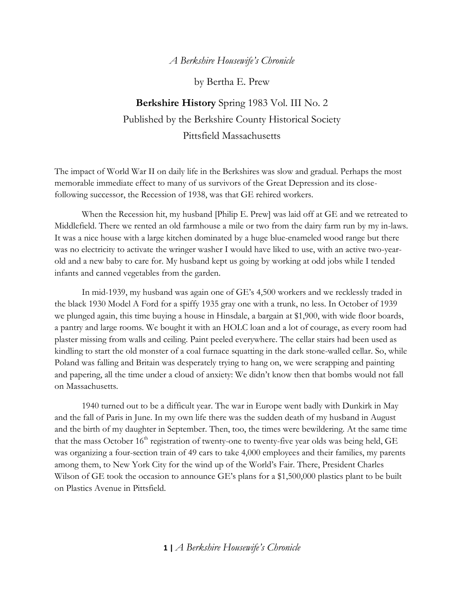## *A Berkshire Housewife's Chronicle*

by Bertha E. Prew

**Berkshire History** Spring 1983 Vol. III No. 2 Published by the Berkshire County Historical Society Pittsfield Massachusetts

The impact of World War II on daily life in the Berkshires was slow and gradual. Perhaps the most memorable immediate effect to many of us survivors of the Great Depression and its closefollowing successor, the Recession of 1938, was that GE rehired workers.

When the Recession hit, my husband [Philip E. Prew] was laid off at GE and we retreated to Middlefield. There we rented an old farmhouse a mile or two from the dairy farm run by my in-laws. It was a nice house with a large kitchen dominated by a huge blue-enameled wood range but there was no electricity to activate the wringer washer I would have liked to use, with an active two-yearold and a new baby to care for. My husband kept us going by working at odd jobs while I tended infants and canned vegetables from the garden.

In mid-1939, my husband was again one of GE's 4,500 workers and we recklessly traded in the black 1930 Model A Ford for a spiffy 1935 gray one with a trunk, no less. In October of 1939 we plunged again, this time buying a house in Hinsdale, a bargain at \$1,900, with wide floor boards, a pantry and large rooms. We bought it with an HOLC loan and a lot of courage, as every room had plaster missing from walls and ceiling. Paint peeled everywhere. The cellar stairs had been used as kindling to start the old monster of a coal furnace squatting in the dark stone-walled cellar. So, while Poland was falling and Britain was desperately trying to hang on, we were scrapping and painting and papering, all the time under a cloud of anxiety: We didn't know then that bombs would not fall on Massachusetts.

1940 turned out to be a difficult year. The war in Europe went badly with Dunkirk in May and the fall of Paris in June. In my own life there was the sudden death of my husband in August and the birth of my daughter in September. Then, too, the times were bewildering. At the same time that the mass October  $16<sup>th</sup>$  registration of twenty-one to twenty-five year olds was being held, GE was organizing a four-section train of 49 cars to take 4,000 employees and their families, my parents among them, to New York City for the wind up of the World's Fair. There, President Charles Wilson of GE took the occasion to announce GE's plans for a \$1,500,000 plastics plant to be built on Plastics Avenue in Pittsfield.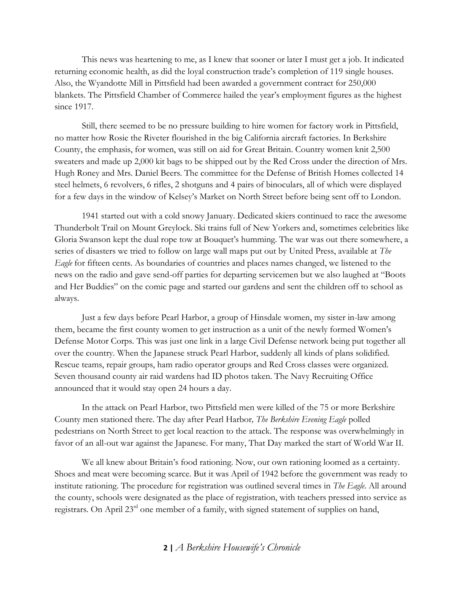This news was heartening to me, as I knew that sooner or later I must get a job. It indicated returning economic health, as did the loyal construction trade's completion of 119 single houses. Also, the Wyandotte Mill in Pittsfield had been awarded a government contract for 250,000 blankets. The Pittsfield Chamber of Commerce hailed the year's employment figures as the highest since 1917.

Still, there seemed to be no pressure building to hire women for factory work in Pittsfield, no matter how Rosie the Riveter flourished in the big California aircraft factories. In Berkshire County, the emphasis, for women, was still on aid for Great Britain. Country women knit 2,500 sweaters and made up 2,000 kit bags to be shipped out by the Red Cross under the direction of Mrs. Hugh Roney and Mrs. Daniel Beers. The committee for the Defense of British Homes collected 14 steel helmets, 6 revolvers, 6 rifles, 2 shotguns and 4 pairs of binoculars, all of which were displayed for a few days in the window of Kelsey's Market on North Street before being sent off to London.

1941 started out with a cold snowy January. Dedicated skiers continued to race the awesome Thunderbolt Trail on Mount Greylock. Ski trains full of New Yorkers and, sometimes celebrities like Gloria Swanson kept the dual rope tow at Bouquet's humming. The war was out there somewhere, a series of disasters we tried to follow on large wall maps put out by United Press, available at *The Eagle* for fifteen cents. As boundaries of countries and places names changed, we listened to the news on the radio and gave send-off parties for departing servicemen but we also laughed at "Boots and Her Buddies" on the comic page and started our gardens and sent the children off to school as always.

Just a few days before Pearl Harbor, a group of Hinsdale women, my sister in-law among them, became the first county women to get instruction as a unit of the newly formed Women's Defense Motor Corps. This was just one link in a large Civil Defense network being put together all over the country. When the Japanese struck Pearl Harbor, suddenly all kinds of plans solidified. Rescue teams, repair groups, ham radio operator groups and Red Cross classes were organized. Seven thousand county air raid wardens had ID photos taken. The Navy Recruiting Office announced that it would stay open 24 hours a day.

In the attack on Pearl Harbor, two Pittsfield men were killed of the 75 or more Berkshire County men stationed there. The day after Pearl Harbor*, The Berkshire Evening Eagle* polled pedestrians on North Street to get local reaction to the attack. The response was overwhelmingly in favor of an all-out war against the Japanese. For many, That Day marked the start of World War II.

We all knew about Britain's food rationing. Now, our own rationing loomed as a certainty. Shoes and meat were becoming scarce. But it was April of 1942 before the government was ready to institute rationing. The procedure for registration was outlined several times in *The Eagle*. All around the county, schools were designated as the place of registration, with teachers pressed into service as registrars. On April 23<sup>rd</sup> one member of a family, with signed statement of supplies on hand,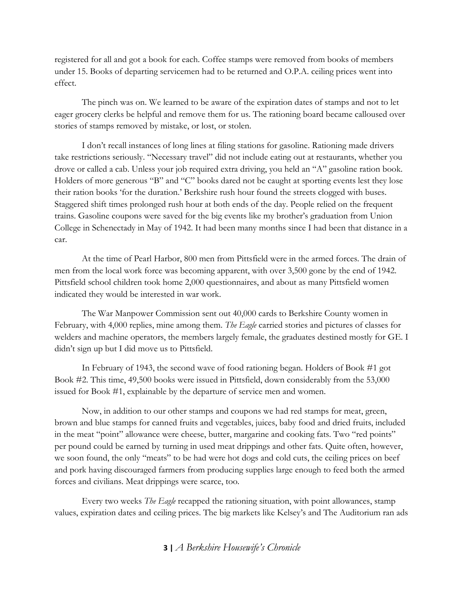registered for all and got a book for each. Coffee stamps were removed from books of members under 15. Books of departing servicemen had to be returned and O.P.A. ceiling prices went into effect.

The pinch was on. We learned to be aware of the expiration dates of stamps and not to let eager grocery clerks be helpful and remove them for us. The rationing board became calloused over stories of stamps removed by mistake, or lost, or stolen.

I don't recall instances of long lines at filing stations for gasoline. Rationing made drivers take restrictions seriously. "Necessary travel" did not include eating out at restaurants, whether you drove or called a cab. Unless your job required extra driving, you held an "A" gasoline ration book. Holders of more generous "B" and "C" books dared not be caught at sporting events lest they lose their ration books 'for the duration.' Berkshire rush hour found the streets clogged with buses. Staggered shift times prolonged rush hour at both ends of the day. People relied on the frequent trains. Gasoline coupons were saved for the big events like my brother's graduation from Union College in Schenectady in May of 1942. It had been many months since I had been that distance in a car.

At the time of Pearl Harbor, 800 men from Pittsfield were in the armed forces. The drain of men from the local work force was becoming apparent, with over 3,500 gone by the end of 1942. Pittsfield school children took home 2,000 questionnaires, and about as many Pittsfield women indicated they would be interested in war work.

The War Manpower Commission sent out 40,000 cards to Berkshire County women in February, with 4,000 replies, mine among them. *The Eagle* carried stories and pictures of classes for welders and machine operators, the members largely female, the graduates destined mostly for GE. I didn't sign up but I did move us to Pittsfield.

In February of 1943, the second wave of food rationing began. Holders of Book #1 got Book #2. This time, 49,500 books were issued in Pittsfield, down considerably from the 53,000 issued for Book #1, explainable by the departure of service men and women.

Now, in addition to our other stamps and coupons we had red stamps for meat, green, brown and blue stamps for canned fruits and vegetables, juices, baby food and dried fruits, included in the meat "point" allowance were cheese, butter, margarine and cooking fats. Two "red points" per pound could be earned by turning in used meat drippings and other fats. Quite often, however, we soon found, the only "meats" to be had were hot dogs and cold cuts, the ceiling prices on beef and pork having discouraged farmers from producing supplies large enough to feed both the armed forces and civilians. Meat drippings were scarce, too.

Every two weeks *The Eagle* recapped the rationing situation, with point allowances, stamp values, expiration dates and ceiling prices. The big markets like Kelsey's and The Auditorium ran ads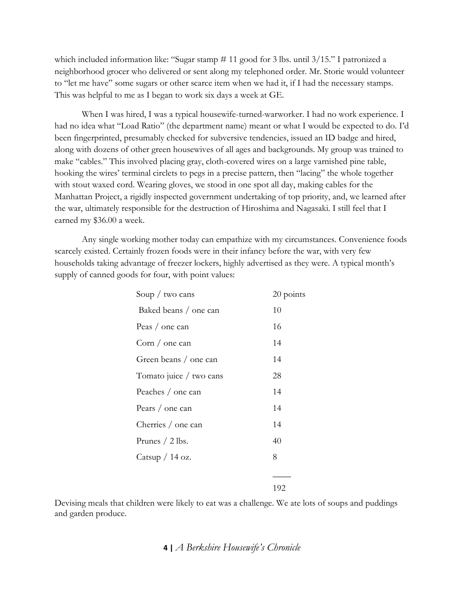which included information like: "Sugar stamp  $# 11$  good for 3 lbs. until  $3/15$ ." I patronized a neighborhood grocer who delivered or sent along my telephoned order. Mr. Storie would volunteer to "let me have" some sugars or other scarce item when we had it, if I had the necessary stamps. This was helpful to me as I began to work six days a week at GE.

When I was hired, I was a typical housewife-turned-warworker. I had no work experience. I had no idea what "Load Ratio" (the department name) meant or what I would be expected to do. I'd been fingerprinted, presumably checked for subversive tendencies, issued an ID badge and hired, along with dozens of other green housewives of all ages and backgrounds. My group was trained to make "cables." This involved placing gray, cloth-covered wires on a large varnished pine table, hooking the wires' terminal circlets to pegs in a precise pattern, then "lacing" the whole together with stout waxed cord. Wearing gloves, we stood in one spot all day, making cables for the Manhattan Project, a rigidly inspected government undertaking of top priority, and, we learned after the war, ultimately responsible for the destruction of Hiroshima and Nagasaki. I still feel that I earned my \$36.00 a week.

Any single working mother today can empathize with my circumstances. Convenience foods scarcely existed. Certainly frozen foods were in their infancy before the war, with very few households taking advantage of freezer lockers, highly advertised as they were. A typical month's supply of canned goods for four, with point values:

| Soup / two cans         | 20 points |
|-------------------------|-----------|
| Baked beans / one can   | 10        |
| Peas / one can          | 16        |
| Corn / one can          | 14        |
| Green beans / one can   | 14        |
| Tomato juice / two cans | 28        |
| Peaches / one can       | 14        |
| Pears / one can         | 14        |
| Cherries / one can      | 14        |
| Prunes / 2 lbs.         | 40        |
| Catsup $/$ 14 oz.       | 8         |
|                         |           |
|                         | 192       |

Devising meals that children were likely to eat was a challenge. We ate lots of soups and puddings and garden produce.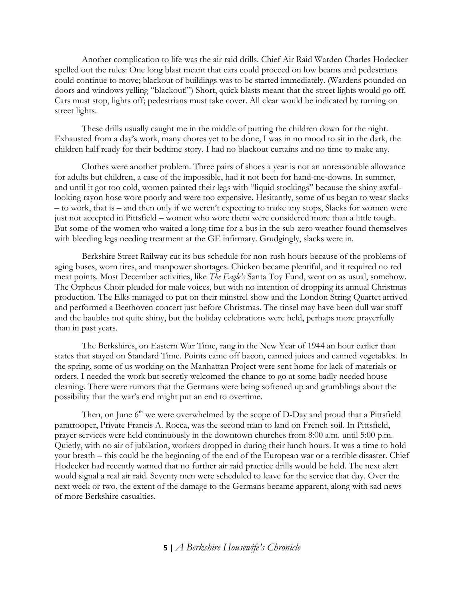Another complication to life was the air raid drills. Chief Air Raid Warden Charles Hodecker spelled out the rules: One long blast meant that cars could proceed on low beams and pedestrians could continue to move; blackout of buildings was to be started immediately. (Wardens pounded on doors and windows yelling "blackout!") Short, quick blasts meant that the street lights would go off. Cars must stop, lights off; pedestrians must take cover. All clear would be indicated by turning on street lights.

These drills usually caught me in the middle of putting the children down for the night. Exhausted from a day's work, many chores yet to be done, I was in no mood to sit in the dark, the children half ready for their bedtime story. I had no blackout curtains and no time to make any.

Clothes were another problem. Three pairs of shoes a year is not an unreasonable allowance for adults but children, a case of the impossible, had it not been for hand-me-downs. In summer, and until it got too cold, women painted their legs with "liquid stockings" because the shiny awfullooking rayon hose wore poorly and were too expensive. Hesitantly, some of us began to wear slacks – to work, that is – and then only if we weren't expecting to make any stops, Slacks for women were just not accepted in Pittsfield – women who wore them were considered more than a little tough. But some of the women who waited a long time for a bus in the sub-zero weather found themselves with bleeding legs needing treatment at the GE infirmary. Grudgingly, slacks were in.

Berkshire Street Railway cut its bus schedule for non-rush hours because of the problems of aging buses, worn tires, and manpower shortages. Chicken became plentiful, and it required no red meat points. Most December activities, like *The Eagle's* Santa Toy Fund, went on as usual, somehow. The Orpheus Choir pleaded for male voices, but with no intention of dropping its annual Christmas production. The Elks managed to put on their minstrel show and the London String Quartet arrived and performed a Beethoven concert just before Christmas. The tinsel may have been dull war stuff and the baubles not quite shiny, but the holiday celebrations were held, perhaps more prayerfully than in past years.

The Berkshires, on Eastern War Time, rang in the New Year of 1944 an hour earlier than states that stayed on Standard Time. Points came off bacon, canned juices and canned vegetables. In the spring, some of us working on the Manhattan Project were sent home for lack of materials or orders. I needed the work but secretly welcomed the chance to go at some badly needed house cleaning. There were rumors that the Germans were being softened up and grumblings about the possibility that the war's end might put an end to overtime.

Then, on June 6<sup>th</sup> we were overwhelmed by the scope of D-Day and proud that a Pittsfield paratrooper, Private Francis A. Rocca, was the second man to land on French soil. In Pittsfield, prayer services were held continuously in the downtown churches from 8:00 a.m. until 5:00 p.m. Quietly, with no air of jubilation, workers dropped in during their lunch hours. It was a time to hold your breath – this could be the beginning of the end of the European war or a terrible disaster. Chief Hodecker had recently warned that no further air raid practice drills would be held. The next alert would signal a real air raid. Seventy men were scheduled to leave for the service that day. Over the next week or two, the extent of the damage to the Germans became apparent, along with sad news of more Berkshire casualties.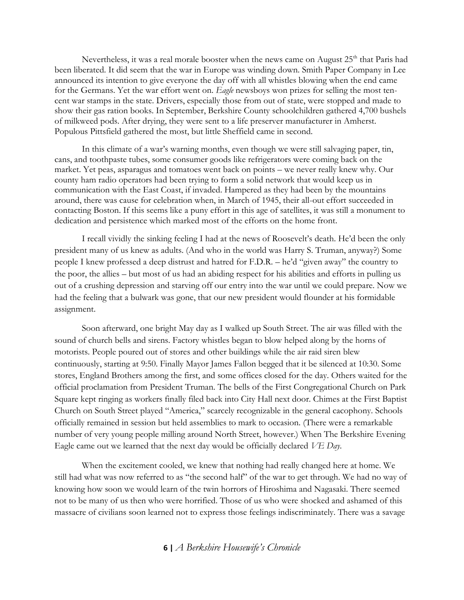Nevertheless, it was a real morale booster when the news came on August  $25<sup>th</sup>$  that Paris had been liberated. It did seem that the war in Europe was winding down. Smith Paper Company in Lee announced its intention to give everyone the day off with all whistles blowing when the end came for the Germans. Yet the war effort went on. *Eagle* newsboys won prizes for selling the most tencent war stamps in the state. Drivers, especially those from out of state, were stopped and made to show their gas ration books. In September, Berkshire County schoolchildren gathered 4,700 bushels of milkweed pods. After drying, they were sent to a life preserver manufacturer in Amherst. Populous Pittsfield gathered the most, but little Sheffield came in second.

In this climate of a war's warning months, even though we were still salvaging paper, tin, cans, and toothpaste tubes, some consumer goods like refrigerators were coming back on the market. Yet peas, asparagus and tomatoes went back on points – we never really knew why. Our county ham radio operators had been trying to form a solid network that would keep us in communication with the East Coast, if invaded. Hampered as they had been by the mountains around, there was cause for celebration when, in March of 1945, their all-out effort succeeded in contacting Boston. If this seems like a puny effort in this age of satellites, it was still a monument to dedication and persistence which marked most of the efforts on the home front.

I recall vividly the sinking feeling I had at the news of Roosevelt's death. He'd been the only president many of us knew as adults. (And who in the world was Harry S. Truman, anyway?) Some people I knew professed a deep distrust and hatred for F.D.R. – he'd "given away" the country to the poor, the allies – but most of us had an abiding respect for his abilities and efforts in pulling us out of a crushing depression and starving off our entry into the war until we could prepare. Now we had the feeling that a bulwark was gone, that our new president would flounder at his formidable assignment.

Soon afterward, one bright May day as I walked up South Street. The air was filled with the sound of church bells and sirens. Factory whistles began to blow helped along by the horns of motorists. People poured out of stores and other buildings while the air raid siren blew continuously, starting at 9:50. Finally Mayor James Fallon begged that it be silenced at 10:30. Some stores, England Brothers among the first, and some offices closed for the day. Others waited for the official proclamation from President Truman. The bells of the First Congregational Church on Park Square kept ringing as workers finally filed back into City Hall next door. Chimes at the First Baptist Church on South Street played "America," scarcely recognizable in the general cacophony. Schools officially remained in session but held assemblies to mark to occasion. (There were a remarkable number of very young people milling around North Street, however.) When The Berkshire Evening Eagle came out we learned that the next day would be officially declared *VE Day*.

When the excitement cooled, we knew that nothing had really changed here at home. We still had what was now referred to as "the second half" of the war to get through. We had no way of knowing how soon we would learn of the twin horrors of Hiroshima and Nagasaki. There seemed not to be many of us then who were horrified. Those of us who were shocked and ashamed of this massacre of civilians soon learned not to express those feelings indiscriminately. There was a savage